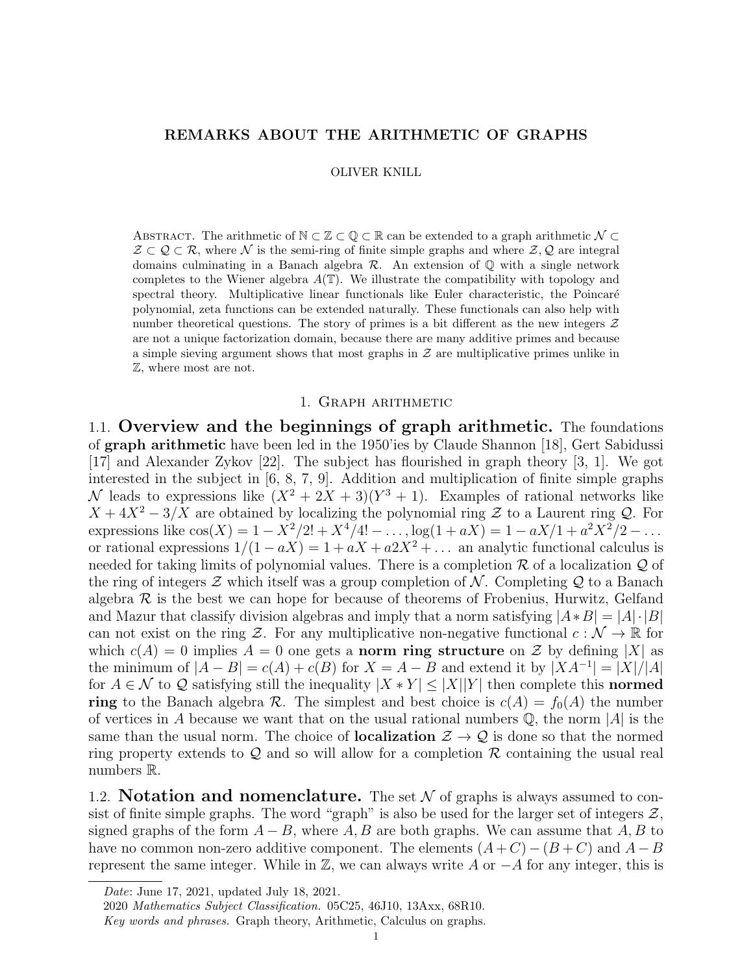# REMARKS ABOUT THE ARITHMETIC OF GRAPHS

OLIVER KNILL

ABSTRACT. The arithmetic of  $\mathbb{N} \subset \mathbb{Z} \subset \mathbb{Q} \subset \mathbb{R}$  can be extended to a graph arithmetic  $\mathcal{N} \subset \mathbb{Z}$  $\mathcal{Z} \subset \mathcal{Q} \subset \mathcal{R}$ , where N is the semi-ring of finite simple graphs and where  $\mathcal{Z}, \mathcal{Q}$  are integral domains culminating in a Banach algebra  $\mathcal R$ . An extension of  $\mathbb Q$  with a single network completes to the Wiener algebra  $A(T)$ . We illustrate the compatibility with topology and spectral theory. Multiplicative linear functionals like Euler characteristic, the Poincaré polynomial, zeta functions can be extended naturally. These functionals can also help with number theoretical questions. The story of primes is a bit different as the new integers  $\mathcal Z$ are not a unique factorization domain, because there are many additive primes and because a simple sieving argument shows that most graphs in  $\mathcal Z$  are multiplicative primes unlike in Z, where most are not.

## 1. Graph arithmetic

1.1. Overview and the beginnings of graph arithmetic. The foundations of graph arithmetic have been led in the 1950'ies by Claude Shannon [18], Gert Sabidussi [17] and Alexander Zykov [22]. The subject has flourished in graph theory [3, 1]. We got interested in the subject in [6, 8, 7, 9]. Addition and multiplication of finite simple graphs N leads to expressions like  $(X^2 + 2X + 3)(Y^3 + 1)$ . Examples of rational networks like  $X + 4X^2 - 3/X$  are obtained by localizing the polynomial ring Z to a Laurent ring Q. For expressions like  $cos(X) = 1 - X^2/2! + X^4/4! - \dots, log(1 + aX) = 1 - aX/1 + a^2X^2/2 - \dots$ or rational expressions  $1/(1 - aX) = 1 + aX + a2X^2 + \dots$  an analytic functional calculus is needed for taking limits of polynomial values. There is a completion  $\mathcal R$  of a localization  $\mathcal Q$  of the ring of integers  $\mathcal Z$  which itself was a group completion of  $\mathcal N$ . Completing  $\mathcal Q$  to a Banach algebra  $\mathcal R$  is the best we can hope for because of theorems of Frobenius, Hurwitz, Gelfand and Mazur that classify division algebras and imply that a norm satisfying  $|A*B| = |A|\cdot|B|$ can not exist on the ring  $\mathcal{Z}$ . For any multiplicative non-negative functional  $c : \mathcal{N} \to \mathbb{R}$  for which  $c(A) = 0$  implies  $A = 0$  one gets a **norm ring structure** on  $\mathcal Z$  by defining |X| as the minimum of  $|A - B| = c(A) + c(B)$  for  $X = A - B$  and extend it by  $|XA^{-1}| = |X|/|A|$ for  $A \in \mathcal{N}$  to Q satisfying still the inequality  $|X * Y| \leq |X||Y|$  then complete this **normed** ring to the Banach algebra  $\mathcal R$ . The simplest and best choice is  $c(A) = f_0(A)$  the number of vertices in A because we want that on the usual rational numbers  $\mathbb{Q}$ , the norm |A| is the same than the usual norm. The choice of **localization**  $\mathcal{Z} \to \mathcal{Q}$  is done so that the normed ring property extends to  $Q$  and so will allow for a completion  $R$  containing the usual real numbers R.

1.2. **Notation and nomenclature.** The set  $N$  of graphs is always assumed to consist of finite simple graphs. The word "graph" is also be used for the larger set of integers  $\mathcal{Z}$ , signed graphs of the form  $A - B$ , where A, B are both graphs. We can assume that A, B to have no common non-zero additive component. The elements  $(A+C) - (B+C)$  and  $A-B$ represent the same integer. While in  $\mathbb{Z}$ , we can always write A or  $-A$  for any integer, this is

Date: June 17, 2021, updated July 18, 2021.

<sup>2020</sup> Mathematics Subject Classification. 05C25, 46J10, 13Axx, 68R10.

Key words and phrases. Graph theory, Arithmetic, Calculus on graphs.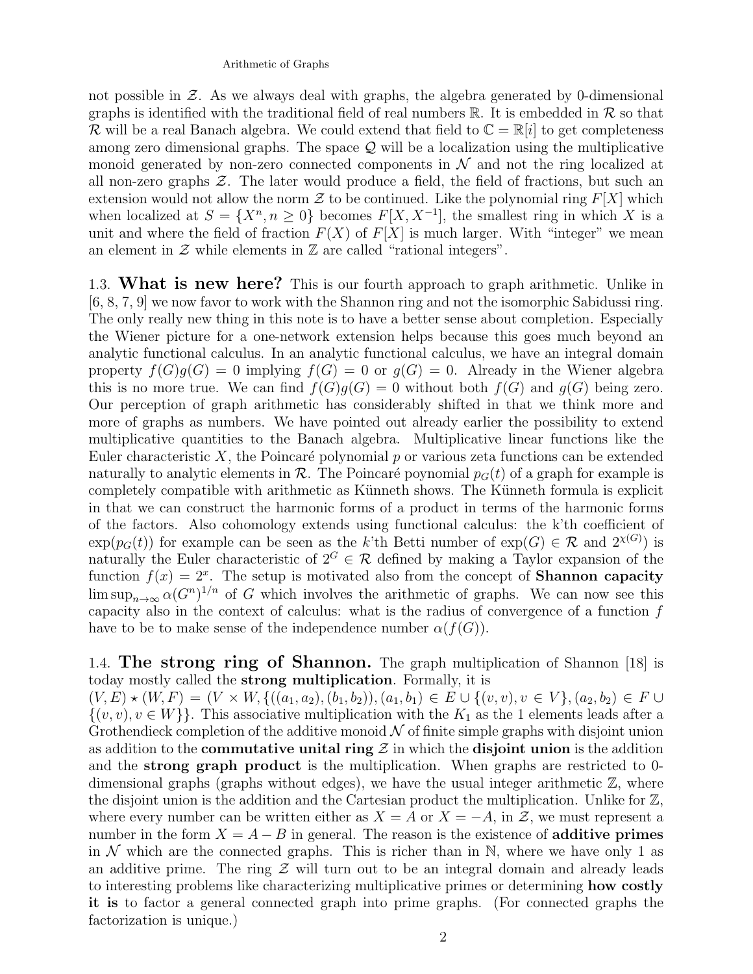## Arithmetic of Graphs

not possible in  $Z$ . As we always deal with graphs, the algebra generated by 0-dimensional graphs is identified with the traditional field of real numbers  $\mathbb{R}$ . It is embedded in  $\mathcal{R}$  so that R will be a real Banach algebra. We could extend that field to  $\mathbb{C} = \mathbb{R}[i]$  to get completeness among zero dimensional graphs. The space  $\mathcal Q$  will be a localization using the multiplicative monoid generated by non-zero connected components in  $\mathcal N$  and not the ring localized at all non-zero graphs  $\mathcal{Z}$ . The later would produce a field, the field of fractions, but such an extension would not allow the norm  $\mathcal Z$  to be continued. Like the polynomial ring  $F[X]$  which when localized at  $S = \{X^n, n \geq 0\}$  becomes  $F[X, X^{-1}]$ , the smallest ring in which X is a unit and where the field of fraction  $F(X)$  of  $F[X]$  is much larger. With "integer" we mean an element in  $\mathcal Z$  while elements in  $\mathbb Z$  are called "rational integers".

1.3. What is new here? This is our fourth approach to graph arithmetic. Unlike in [6, 8, 7, 9] we now favor to work with the Shannon ring and not the isomorphic Sabidussi ring. The only really new thing in this note is to have a better sense about completion. Especially the Wiener picture for a one-network extension helps because this goes much beyond an analytic functional calculus. In an analytic functional calculus, we have an integral domain property  $f(G)g(G) = 0$  implying  $f(G) = 0$  or  $g(G) = 0$ . Already in the Wiener algebra this is no more true. We can find  $f(G)g(G) = 0$  without both  $f(G)$  and  $g(G)$  being zero. Our perception of graph arithmetic has considerably shifted in that we think more and more of graphs as numbers. We have pointed out already earlier the possibility to extend multiplicative quantities to the Banach algebra. Multiplicative linear functions like the Euler characteristic X, the Poincaré polynomial p or various zeta functions can be extended naturally to analytic elements in  $\mathcal{R}$ . The Poincaré poynomial  $p_{G}(t)$  of a graph for example is completely compatible with arithmetic as Künneth shows. The Künneth formula is explicit in that we can construct the harmonic forms of a product in terms of the harmonic forms of the factors. Also cohomology extends using functional calculus: the k'th coefficient of  $\exp(p_G(t))$  for example can be seen as the k'th Betti number of  $\exp(G) \in \mathcal{R}$  and  $2^{\chi(G)}$  is naturally the Euler characteristic of  $2^G \in \mathcal{R}$  defined by making a Taylor expansion of the function  $f(x) = 2^x$ . The setup is motivated also from the concept of **Shannon capacity**  $\limsup_{n\to\infty} \alpha(G^n)^{1/n}$  of G which involves the arithmetic of graphs. We can now see this capacity also in the context of calculus: what is the radius of convergence of a function  $f$ have to be to make sense of the independence number  $\alpha(f(G))$ .

1.4. The strong ring of Shannon. The graph multiplication of Shannon [18] is today mostly called the strong multiplication. Formally, it is

 $(V, E) \star (W, F) = (V \times W, \{((a_1, a_2), (b_1, b_2)), (a_1, b_1) \in E \cup \{(v, v), v \in V\}, (a_2, b_2) \in F \cup$  $\{(v, v), v \in W\}$ . This associative multiplication with the  $K_1$  as the 1 elements leads after a Grothendieck completion of the additive monoid  $\mathcal N$  of finite simple graphs with disjoint union as addition to the **commutative unital ring**  $\mathcal{Z}$  in which the **disjoint union** is the addition and the strong graph product is the multiplication. When graphs are restricted to 0 dimensional graphs (graphs without edges), we have the usual integer arithmetic  $\mathbb{Z}$ , where the disjoint union is the addition and the Cartesian product the multiplication. Unlike for  $\mathbb{Z}$ , where every number can be written either as  $X = A$  or  $X = -A$ , in  $\mathcal{Z}$ , we must represent a number in the form  $X = A - B$  in general. The reason is the existence of **additive primes** in  $\mathcal N$  which are the connected graphs. This is richer than in N, where we have only 1 as an additive prime. The ring  $\mathcal Z$  will turn out to be an integral domain and already leads to interesting problems like characterizing multiplicative primes or determining how costly it is to factor a general connected graph into prime graphs. (For connected graphs the factorization is unique.)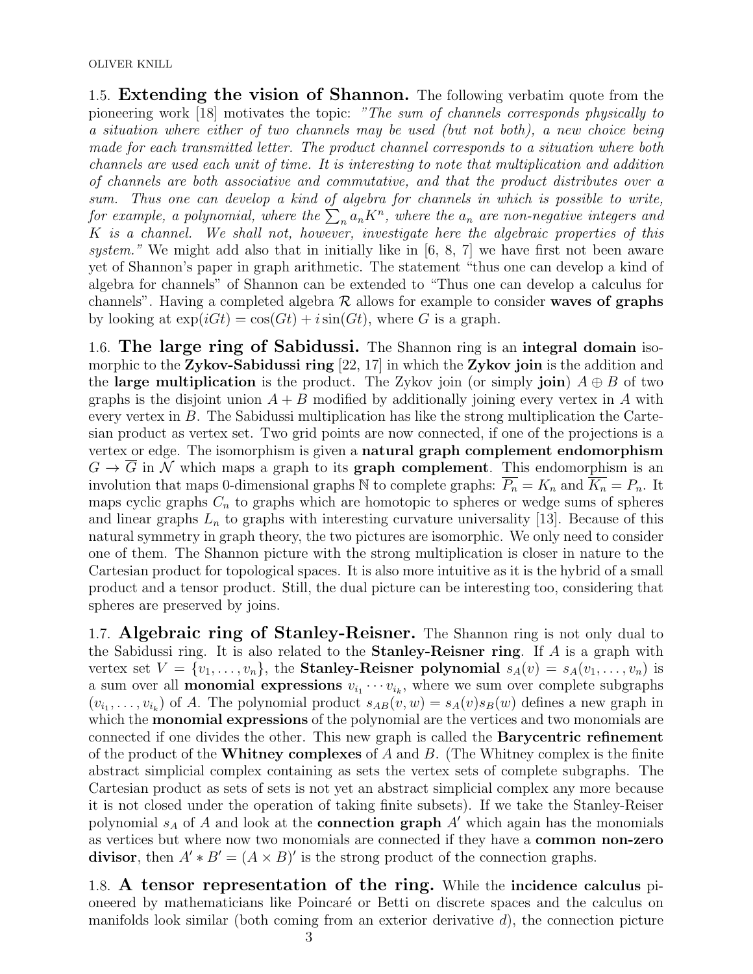OLIVER KNILL

1.5. **Extending the vision of Shannon.** The following verbatim quote from the pioneering work [18] motivates the topic: "The sum of channels corresponds physically to a situation where either of two channels may be used (but not both), a new choice being made for each transmitted letter. The product channel corresponds to a situation where both channels are used each unit of time. It is interesting to note that multiplication and addition of channels are both associative and commutative, and that the product distributes over a sum. Thus one can develop a kind of algebra for channels in which is possible to write, for example, a polynomial, where the  $\sum_n a_n K^n$ , where the  $a_n$  are non-negative integers and K is a channel. We shall not, however, investigate here the algebraic properties of this system." We might add also that in initially like in  $[6, 8, 7]$  we have first not been aware yet of Shannon's paper in graph arithmetic. The statement "thus one can develop a kind of algebra for channels" of Shannon can be extended to "Thus one can develop a calculus for channels". Having a completed algebra  $R$  allows for example to consider waves of graphs by looking at  $\exp(iGt) = \cos(Gt) + i\sin(Gt)$ , where G is a graph.

1.6. The large ring of Sabidussi. The Shannon ring is an integral domain isomorphic to the Zykov-Sabidussi ring [22, 17] in which the Zykov join is the addition and the large multiplication is the product. The Zykov join (or simply join)  $A \oplus B$  of two graphs is the disjoint union  $A + B$  modified by additionally joining every vertex in A with every vertex in B. The Sabidussi multiplication has like the strong multiplication the Cartesian product as vertex set. Two grid points are now connected, if one of the projections is a vertex or edge. The isomorphism is given a natural graph complement endomorphism  $G \to G$  in N which maps a graph to its **graph complement**. This endomorphism is an involution that maps 0-dimensional graphs N to complete graphs:  $\overline{P_n} = K_n$  and  $\overline{K_n} = P_n$ . It maps cyclic graphs  $C_n$  to graphs which are homotopic to spheres or wedge sums of spheres and linear graphs  $L_n$  to graphs with interesting curvature universality [13]. Because of this natural symmetry in graph theory, the two pictures are isomorphic. We only need to consider one of them. The Shannon picture with the strong multiplication is closer in nature to the Cartesian product for topological spaces. It is also more intuitive as it is the hybrid of a small product and a tensor product. Still, the dual picture can be interesting too, considering that spheres are preserved by joins.

1.7. Algebraic ring of Stanley-Reisner. The Shannon ring is not only dual to the Sabidussi ring. It is also related to the **Stanley-Reisner ring**. If  $A$  is a graph with vertex set  $V = \{v_1, \ldots, v_n\}$ , the **Stanley-Reisner polynomial**  $s_A(v) = s_A(v_1, \ldots, v_n)$  is a sum over all **monomial expressions**  $v_{i_1} \cdots v_{i_k}$ , where we sum over complete subgraphs  $(v_{i_1}, \ldots, v_{i_k})$  of A. The polynomial product  $s_{AB}(v, w) = s_A(v)s_B(w)$  defines a new graph in which the **monomial expressions** of the polynomial are the vertices and two monomials are connected if one divides the other. This new graph is called the Barycentric refinement of the product of the **Whitney complexes** of  $A$  and  $B$ . (The Whitney complex is the finite abstract simplicial complex containing as sets the vertex sets of complete subgraphs. The Cartesian product as sets of sets is not yet an abstract simplicial complex any more because it is not closed under the operation of taking finite subsets). If we take the Stanley-Reiser polynomial  $s_A$  of A and look at the **connection graph** A' which again has the monomials as vertices but where now two monomials are connected if they have a common non-zero divisor, then  $A' * B' = (A \times B)'$  is the strong product of the connection graphs.

1.8. A tensor representation of the ring. While the incidence calculus pioneered by mathematicians like Poincar´e or Betti on discrete spaces and the calculus on manifolds look similar (both coming from an exterior derivative  $d$ ), the connection picture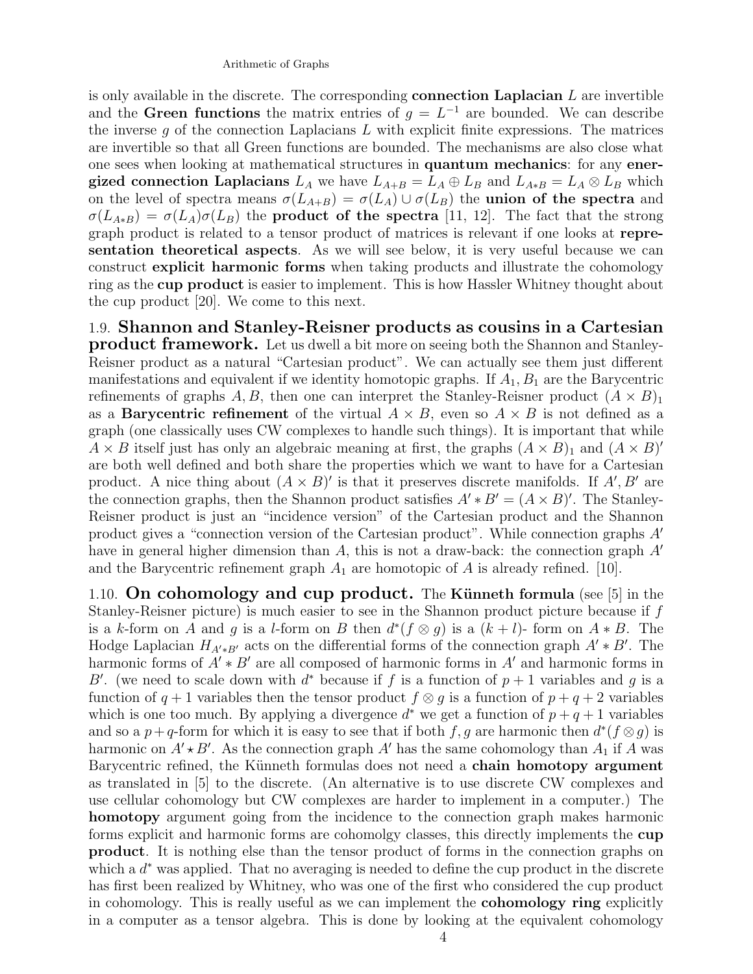is only available in the discrete. The corresponding **connection Laplacian**  $L$  are invertible and the Green functions the matrix entries of  $g = L^{-1}$  are bounded. We can describe the inverse  $g$  of the connection Laplacians  $L$  with explicit finite expressions. The matrices are invertible so that all Green functions are bounded. The mechanisms are also close what one sees when looking at mathematical structures in quantum mechanics: for any energized connection Laplacians  $L_A$  we have  $L_{A+B} = L_A \oplus L_B$  and  $L_{A*B} = L_A \otimes L_B$  which on the level of spectra means  $\sigma(L_{A+B}) = \sigma(L_A) \cup \sigma(L_B)$  the union of the spectra and  $\sigma(L_{A*B}) = \sigma(L_A)\sigma(L_B)$  the **product of the spectra** [11, 12]. The fact that the strong graph product is related to a tensor product of matrices is relevant if one looks at representation theoretical aspects. As we will see below, it is very useful because we can construct explicit harmonic forms when taking products and illustrate the cohomology ring as the cup product is easier to implement. This is how Hassler Whitney thought about the cup product [20]. We come to this next.

1.9. Shannon and Stanley-Reisner products as cousins in a Cartesian product framework. Let us dwell a bit more on seeing both the Shannon and Stanley-Reisner product as a natural "Cartesian product". We can actually see them just different manifestations and equivalent if we identity homotopic graphs. If  $A_1, B_1$  are the Barycentric refinements of graphs A, B, then one can interpret the Stanley-Reisner product  $(A \times B)_1$ as a **Barycentric refinement** of the virtual  $A \times B$ , even so  $A \times B$  is not defined as a graph (one classically uses CW complexes to handle such things). It is important that while  $A \times B$  itself just has only an algebraic meaning at first, the graphs  $(A \times B)_1$  and  $(A \times B)'$ are both well defined and both share the properties which we want to have for a Cartesian product. A nice thing about  $(A \times B)'$  is that it preserves discrete manifolds. If A', B' are the connection graphs, then the Shannon product satisfies  $A' * B' = (A \times B)'$ . The Stanley-Reisner product is just an "incidence version" of the Cartesian product and the Shannon product gives a "connection version of the Cartesian product". While connection graphs  $A'$ have in general higher dimension than A, this is not a draw-back: the connection graph  $A<sup>'</sup>$ and the Barycentric refinement graph  $A_1$  are homotopic of A is already refined. [10].

1.10. On cohomology and cup product. The Künneth formula (see  $[5]$  in the Stanley-Reisner picture) is much easier to see in the Shannon product picture because if f is a k-form on A and g is a l-form on B then  $d^*(f \otimes g)$  is a  $(k+l)$ - form on  $A * B$ . The Hodge Laplacian  $H_{A'*B'}$  acts on the differential forms of the connection graph  $A'*B'$ . The harmonic forms of  $A' * B'$  are all composed of harmonic forms in A' and harmonic forms in B'. (we need to scale down with  $d^*$  because if f is a function of  $p+1$  variables and g is a function of  $q + 1$  variables then the tensor product  $f \otimes g$  is a function of  $p + q + 2$  variables which is one too much. By applying a divergence  $d^*$  we get a function of  $p+q+1$  variables and so a  $p+q$ -form for which it is easy to see that if both  $f, g$  are harmonic then  $d^*(f \otimes g)$  is harmonic on  $A' \star B'$ . As the connection graph  $A'$  has the same cohomology than  $A_1$  if A was Barycentric refined, the Künneth formulas does not need a **chain homotopy argument** as translated in [5] to the discrete. (An alternative is to use discrete CW complexes and use cellular cohomology but CW complexes are harder to implement in a computer.) The homotopy argument going from the incidence to the connection graph makes harmonic forms explicit and harmonic forms are cohomolgy classes, this directly implements the cup product. It is nothing else than the tensor product of forms in the connection graphs on which a  $d^*$  was applied. That no averaging is needed to define the cup product in the discrete has first been realized by Whitney, who was one of the first who considered the cup product in cohomology. This is really useful as we can implement the cohomology ring explicitly in a computer as a tensor algebra. This is done by looking at the equivalent cohomology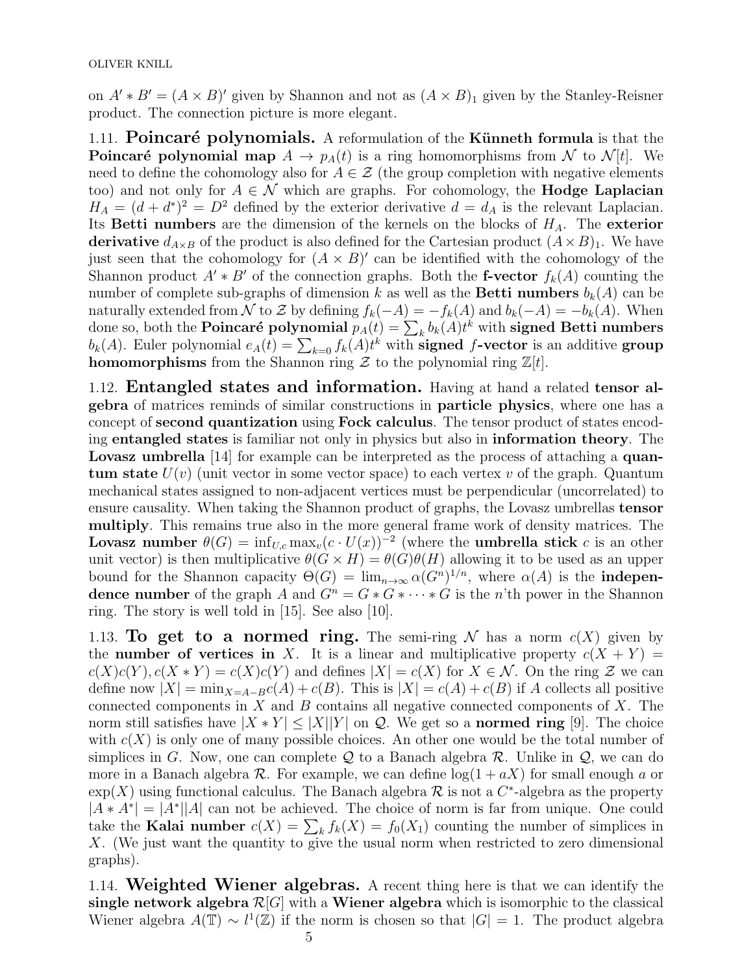on  $A' * B' = (A \times B)'$  given by Shannon and not as  $(A \times B)_1$  given by the Stanley-Reisner product. The connection picture is more elegant.

1.11. Poincaré polynomials. A reformulation of the Künneth formula is that the **Poincaré polynomial map**  $A \to p_A(t)$  is a ring homomorphisms from N to N[t]. We need to define the cohomology also for  $A \in \mathcal{Z}$  (the group completion with negative elements too) and not only for  $A \in \mathcal{N}$  which are graphs. For cohomology, the **Hodge Laplacian**  $H_A = (d + d^*)^2 = D^2$  defined by the exterior derivative  $d = d_A$  is the relevant Laplacian. Its Betti numbers are the dimension of the kernels on the blocks of  $H_A$ . The exterior derivative  $d_{A\times B}$  of the product is also defined for the Cartesian product  $(A\times B)_1$ . We have just seen that the cohomology for  $(A \times B)'$  can be identified with the cohomology of the Shannon product  $A' * B'$  of the connection graphs. Both the f-vector  $f_k(A)$  counting the number of complete sub-graphs of dimension k as well as the **Betti numbers**  $b_k(A)$  can be naturally extended from N to Z by defining  $f_k(-A) = -f_k(A)$  and  $b_k(-A) = -b_k(A)$ . When done so, both the **Poincaré polynomial**  $p_A(t) = \sum_k b_k(A)t^k$  with signed Betti numbers  $b_k(A)$ . Euler polynomial  $e_A(t) = \sum_{k=0} f_k(A)t^k$  with **signed f-vector** is an additive **group homomorphisms** from the Shannon ring  $\mathcal{Z}$  to the polynomial ring  $\mathbb{Z}[t]$ .

1.12. Entangled states and information. Having at hand a related tensor algebra of matrices reminds of similar constructions in particle physics, where one has a concept of second quantization using Fock calculus. The tensor product of states encoding entangled states is familiar not only in physics but also in information theory. The Lovasz umbrella [14] for example can be interpreted as the process of attaching a quantum state  $U(v)$  (unit vector in some vector space) to each vertex v of the graph. Quantum mechanical states assigned to non-adjacent vertices must be perpendicular (uncorrelated) to ensure causality. When taking the Shannon product of graphs, the Lovasz umbrellas tensor multiply. This remains true also in the more general frame work of density matrices. The Lovasz number  $\theta(G) = \inf_{U,c} \max_v (c \cdot U(x))^{-2}$  (where the umbrella stick c is an other unit vector) is then multiplicative  $\theta(G \times H) = \theta(G)\theta(H)$  allowing it to be used as an upper bound for the Shannon capacity  $\Theta(G) = \lim_{n \to \infty} \alpha(G^n)^{1/n}$ , where  $\alpha(A)$  is the **indepen**dence number of the graph A and  $G^n = G * G * \cdots * G$  is the n'th power in the Shannon ring. The story is well told in [15]. See also [10].

1.13. To get to a normed ring. The semi-ring N has a norm  $c(X)$  given by the **number of vertices in** X. It is a linear and multiplicative property  $c(X + Y) =$  $c(X)c(Y), c(X*Y) = c(X)c(Y)$  and defines  $|X| = c(X)$  for  $X \in \mathcal{N}$ . On the ring  $\mathcal Z$  we can define now  $|X| = \min_{X=A-B} c(A) + c(B)$ . This is  $|X| = c(A) + c(B)$  if A collects all positive connected components in  $X$  and  $B$  contains all negative connected components of  $X$ . The norm still satisfies have  $|X * Y| \leq |X||Y|$  on Q. We get so a **normed ring** [9]. The choice with  $c(X)$  is only one of many possible choices. An other one would be the total number of simplices in G. Now, one can complete  $\mathcal Q$  to a Banach algebra  $\mathcal R$ . Unlike in  $\mathcal Q$ , we can do more in a Banach algebra  $\mathcal R$ . For example, we can define  $\log(1 + aX)$  for small enough a or  $\exp(X)$  using functional calculus. The Banach algebra R is not a C<sup>\*</sup>-algebra as the property  $|A*A^*|=|A^*||A|$  can not be achieved. The choice of norm is far from unique. One could take the **Kalai number**  $c(X) = \sum_{k} f_k(X) = f_0(X_1)$  counting the number of simplices in  $X$ . (We just want the quantity to give the usual norm when restricted to zero dimensional graphs).

1.14. Weighted Wiener algebras. A recent thing here is that we can identify the single network algebra  $\mathcal{R}[G]$  with a Wiener algebra which is isomorphic to the classical Wiener algebra  $A(\mathbb{T}) \sim l^1(\mathbb{Z})$  if the norm is chosen so that  $|G| = 1$ . The product algebra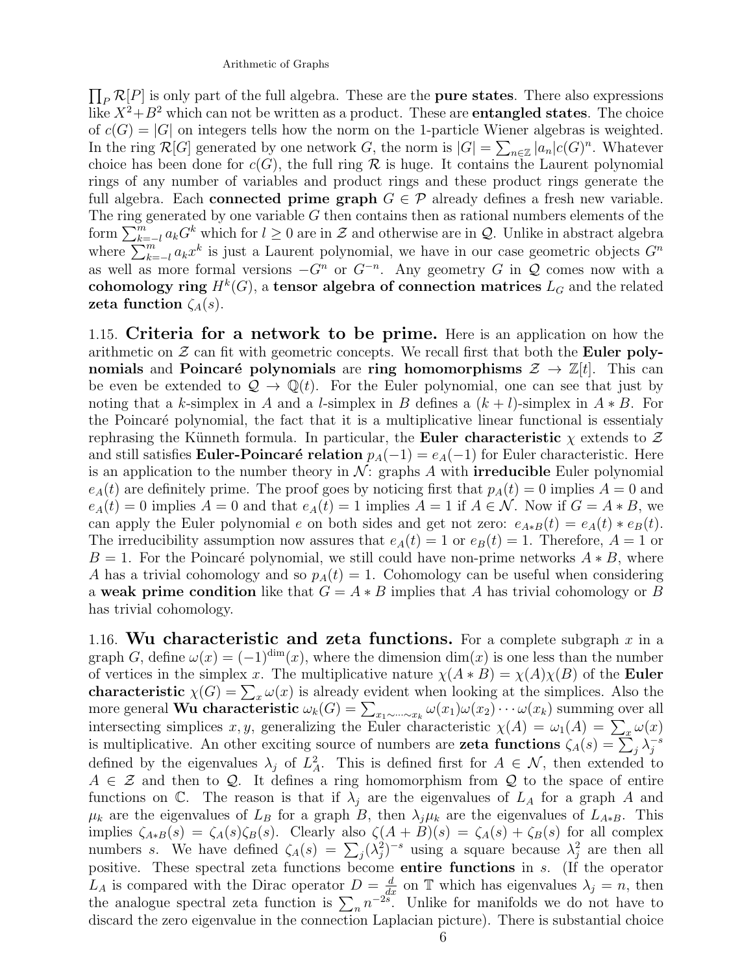$\prod_P \mathcal{R}[P]$  is only part of the full algebra. These are the **pure states**. There also expressions like  $X^2+B^2$  which can not be written as a product. These are **entangled states**. The choice of  $c(G) = |G|$  on integers tells how the norm on the 1-particle Wiener algebras is weighted. In the ring  $\mathcal{R}[G]$  generated by one network G, the norm is  $|G| = \sum_{n \in \mathbb{Z}} |a_n| c(G)^n$ . Whatever choice has been done for  $c(G)$ , the full ring R is huge. It contains the Laurent polynomial rings of any number of variables and product rings and these product rings generate the full algebra. Each connected prime graph  $G \in \mathcal{P}$  already defines a fresh new variable. The ring generated by one variable  $G$  then contains then as rational numbers elements of the form  $\sum_{k=-l}^{m} a_k G^k$  which for  $l \geq 0$  are in  $\mathcal Z$  and otherwise are in  $\mathcal Q$ . Unlike in abstract algebra where  $\sum_{k=-l}^{m} a_k x^k$  is just a Laurent polynomial, we have in our case geometric objects  $G^n$ as well as more formal versions  $-G<sup>n</sup>$  or  $G<sup>-n</sup>$ . Any geometry G in Q comes now with a cohomology ring  $H^k(G)$ , a tensor algebra of connection matrices  $L_G$  and the related zeta function  $\zeta_A(s)$ .

1.15. Criteria for a network to be prime. Here is an application on how the arithmetic on  $\mathcal Z$  can fit with geometric concepts. We recall first that both the **Euler poly**nomials and Poincaré polynomials are ring homomorphisms  $\mathcal{Z} \to \mathbb{Z}[t]$ . This can be even be extended to  $\mathcal{Q} \to \mathbb{Q}(t)$ . For the Euler polynomial, one can see that just by noting that a k-simplex in A and a l-simplex in B defines a  $(k + l)$ -simplex in  $A * B$ . For the Poincar´e polynomial, the fact that it is a multiplicative linear functional is essentialy rephrasing the Künneth formula. In particular, the **Euler characteristic**  $\chi$  extends to  $\mathcal{Z}$ and still satisfies Euler-Poincaré relation  $p_A(-1) = e_A(-1)$  for Euler characteristic. Here is an application to the number theory in  $\mathcal{N}$ : graphs A with **irreducible** Euler polynomial  $e_A(t)$  are definitely prime. The proof goes by noticing first that  $p_A(t) = 0$  implies  $A = 0$  and  $e_A(t) = 0$  implies  $A = 0$  and that  $e_A(t) = 1$  implies  $A = 1$  if  $A \in \mathcal{N}$ . Now if  $G = A * B$ , we can apply the Euler polynomial e on both sides and get not zero:  $e_{A*B}(t) = e_A(t) * e_B(t)$ . The irreducibility assumption now assures that  $e_A(t) = 1$  or  $e_B(t) = 1$ . Therefore,  $A = 1$  or  $B = 1$ . For the Poincaré polynomial, we still could have non-prime networks  $A * B$ , where A has a trivial cohomology and so  $p_A(t) = 1$ . Cohomology can be useful when considering a weak prime condition like that  $G = A * B$  implies that A has trivial cohomology or B has trivial cohomology.

1.16. Wu characteristic and zeta functions. For a complete subgraph x in a graph G, define  $\omega(x) = (-1)^{\dim}(x)$ , where the dimension  $\dim(x)$  is one less than the number of vertices in the simplex x. The multiplicative nature  $\chi(A * B) = \chi(A)\chi(B)$  of the **Euler** characteristic  $\chi(G) = \sum_{x} \omega(x)$  is already evident when looking at the simplices. Also the more general **Wu characteristic**  $\omega_k(G) = \sum_{x_1 \sim \cdots \sim x_k} \omega(x_1) \omega(x_2) \cdots \omega(x_k)$  summing over all intersecting simplices x, y, generalizing the Euler characteristic  $\chi(A) = \omega_1(A) = \sum_x \omega(x)$ is multiplicative. An other exciting source of numbers are **zeta functions**  $\zeta_A(s) = \sum_j^s \lambda_j^{-s}$ j defined by the eigenvalues  $\lambda_j$  of  $L^2_A$ . This is defined first for  $A \in \mathcal{N}$ , then extended to  $A \in \mathcal{Z}$  and then to  $\mathcal{Q}$ . It defines a ring homomorphism from  $\mathcal{Q}$  to the space of entire functions on C. The reason is that if  $\lambda_i$  are the eigenvalues of  $L_A$  for a graph A and  $\mu_k$  are the eigenvalues of  $L_B$  for a graph B, then  $\lambda_j \mu_k$  are the eigenvalues of  $L_{A*B}$ . This implies  $\zeta_{A*B}(s) = \zeta_A(s)\zeta_B(s)$ . Clearly also  $\zeta(A+B)(s) = \zeta_A(s) + \zeta_B(s)$  for all complex numbers s. We have defined  $\zeta_A(s) = \sum_j (\lambda_j^2)^{-s}$  using a square because  $\lambda_j^2$  are then all positive. These spectral zeta functions become entire functions in s. (If the operator  $L_A$  is compared with the Dirac operator  $D = \frac{d}{dx}$  on T which has eigenvalues  $\lambda_j = n$ , then the analogue spectral zeta function is  $\sum_{n} n^{-2s}$ . Unlike for manifolds we do not have to discard the zero eigenvalue in the connection Laplacian picture). There is substantial choice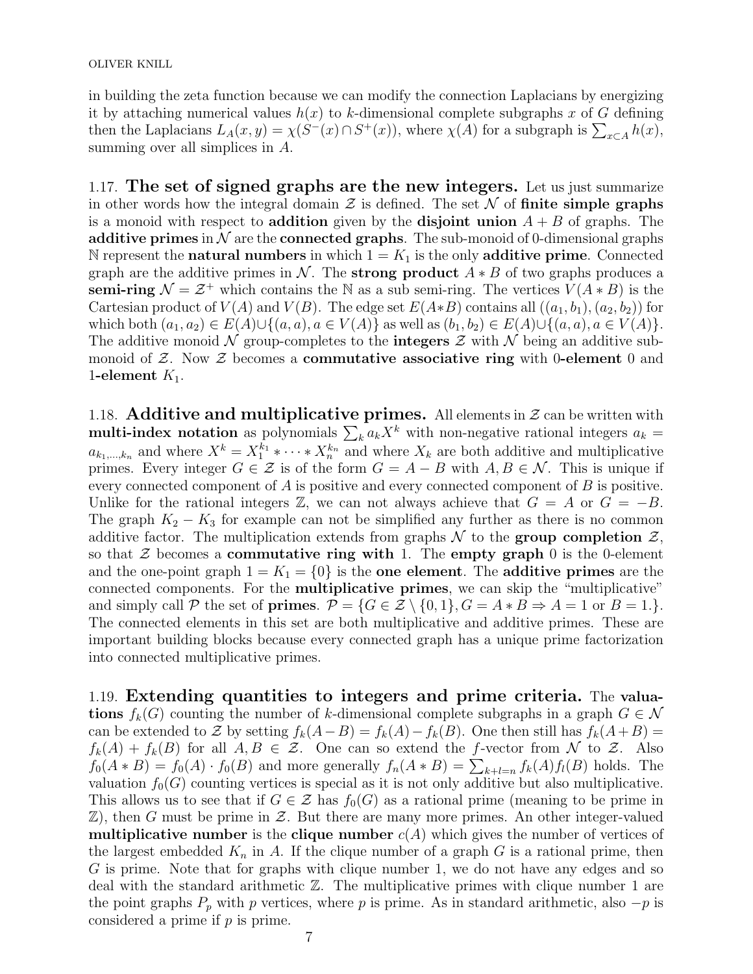OLIVER KNILL

in building the zeta function because we can modify the connection Laplacians by energizing it by attaching numerical values  $h(x)$  to k-dimensional complete subgraphs x of G defining then the Laplacians  $L_A(x, y) = \chi(S^-(x) \cap S^+(x))$ , where  $\chi(A)$  for a subgraph is  $\sum_{x \in A} h(x)$ , summing over all simplices in A.

1.17. The set of signed graphs are the new integers. Let us just summarize in other words how the integral domain  $\mathcal Z$  is defined. The set  $\mathcal N$  of finite simple graphs is a monoid with respect to **addition** given by the **disjoint union**  $A + B$  of graphs. The additive primes in  $\mathcal N$  are the connected graphs. The sub-monoid of 0-dimensional graphs N represent the **natural numbers** in which  $1 = K_1$  is the only **additive prime**. Connected graph are the additive primes in N. The **strong product**  $A * B$  of two graphs produces a semi-ring  $\mathcal{N} = \mathcal{Z}^+$  which contains the N as a sub semi-ring. The vertices  $V(A * B)$  is the Cartesian product of  $V(A)$  and  $V(B)$ . The edge set  $E(A*B)$  contains all  $((a_1, b_1), (a_2, b_2))$  for which both  $(a_1, a_2) \in E(A) \cup \{(a, a), a \in V(A)\}\$ as well as  $(b_1, b_2) \in E(A) \cup \{(a, a), a \in V(A)\}\$ . The additive monoid N group-completes to the **integers**  $\mathcal Z$  with N being an additive submonoid of  $Z$ . Now  $Z$  becomes a **commutative associative ring** with 0-element 0 and 1-element  $K_1$ .

1.18. Additive and multiplicative primes. All elements in  $\mathcal Z$  can be written with multi-index notation as polynomials  $\sum_k a_k X^k$  with non-negative rational integers  $a_k =$  $a_{k_1,\dots,k_n}$  and where  $X^k = X_1^{k_1} * \cdots * X_n^{k_n}$  and where  $X_k$  are both additive and multiplicative primes. Every integer  $G \in \mathcal{Z}$  is of the form  $G = A - B$  with  $A, B \in \mathcal{N}$ . This is unique if every connected component of A is positive and every connected component of B is positive. Unlike for the rational integers  $\mathbb{Z}$ , we can not always achieve that  $G = A$  or  $G = -B$ . The graph  $K_2 - K_3$  for example can not be simplified any further as there is no common additive factor. The multiplication extends from graphs  $\mathcal N$  to the group completion  $\mathcal Z$ , so that  $\mathcal Z$  becomes a **commutative ring with** 1. The **empty graph** 0 is the 0-element and the one-point graph  $1 = K_1 = \{0\}$  is the one element. The additive primes are the connected components. For the multiplicative primes, we can skip the "multiplicative" and simply call P the set of **primes**.  $P = \{G \in \mathcal{Z} \setminus \{0,1\}, G = A * B \Rightarrow A = 1 \text{ or } B = 1.\}.$ The connected elements in this set are both multiplicative and additive primes. These are important building blocks because every connected graph has a unique prime factorization into connected multiplicative primes.

1.19. Extending quantities to integers and prime criteria. The valuations  $f_k(G)$  counting the number of k-dimensional complete subgraphs in a graph  $G \in \mathcal{N}$ can be extended to Z by setting  $f_k(A-B) = f_k(A) - f_k(B)$ . One then still has  $f_k(A+B) =$  $f_k(A) + f_k(B)$  for all  $A, B \in \mathcal{Z}$ . One can so extend the f-vector from N to Z. Also  $f_0(A * B) = f_0(A) \cdot f_0(B)$  and more generally  $f_n(A * B) = \sum_{k+l=n} f_k(A) f_l(B)$  holds. The valuation  $f_0(G)$  counting vertices is special as it is not only additive but also multiplicative. This allows us to see that if  $G \in \mathcal{Z}$  has  $f_0(G)$  as a rational prime (meaning to be prime in  $(\mathbb{Z})$ , then G must be prime in  $\mathcal{Z}$ . But there are many more primes. An other integer-valued **multiplicative number** is the **clique number**  $c(A)$  which gives the number of vertices of the largest embedded  $K_n$  in A. If the clique number of a graph G is a rational prime, then G is prime. Note that for graphs with clique number 1, we do not have any edges and so deal with the standard arithmetic Z. The multiplicative primes with clique number 1 are the point graphs  $P_p$  with p vertices, where p is prime. As in standard arithmetic, also  $-p$  is considered a prime if  $p$  is prime.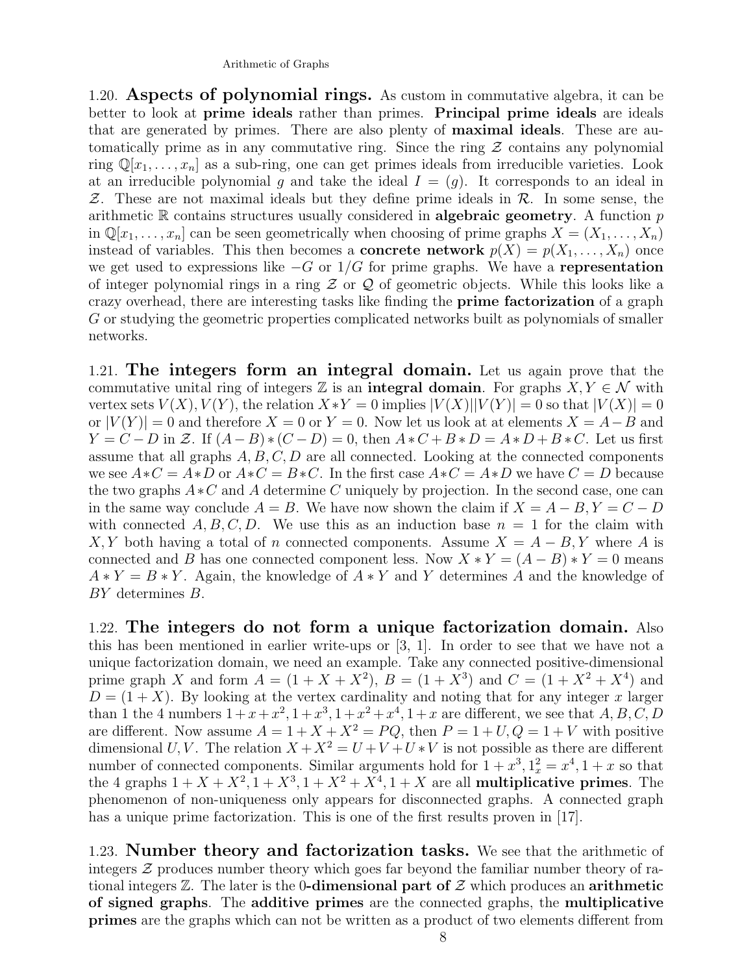1.20. Aspects of polynomial rings. As custom in commutative algebra, it can be better to look at prime ideals rather than primes. Principal prime ideals are ideals that are generated by primes. There are also plenty of maximal ideals. These are automatically prime as in any commutative ring. Since the ring  $\mathcal Z$  contains any polynomial ring  $\mathbb{Q}[x_1,\ldots,x_n]$  as a sub-ring, one can get primes ideals from irreducible varieties. Look at an irreducible polynomial g and take the ideal  $I = (g)$ . It corresponds to an ideal in  $Z$ . These are not maximal ideals but they define prime ideals in  $R$ . In some sense, the arithmetic  $\mathbb R$  contains structures usually considered in **algebraic geometry**. A function  $p$ in  $\mathbb{Q}[x_1,\ldots,x_n]$  can be seen geometrically when choosing of prime graphs  $X=(X_1,\ldots,X_n)$ instead of variables. This then becomes a **concrete network**  $p(X) = p(X_1, \ldots, X_n)$  once we get used to expressions like  $-G$  or  $1/G$  for prime graphs. We have a representation of integer polynomial rings in a ring  $\mathcal Z$  or  $\mathcal Q$  of geometric objects. While this looks like a crazy overhead, there are interesting tasks like finding the prime factorization of a graph G or studying the geometric properties complicated networks built as polynomials of smaller networks.

1.21. The integers form an integral domain. Let us again prove that the commutative unital ring of integers  $\mathbb Z$  is an **integral domain**. For graphs  $X, Y \in \mathcal N$  with vertex sets  $V(X)$ ,  $V(Y)$ , the relation  $X * Y = 0$  implies  $|V(X)||V(Y)| = 0$  so that  $|V(X)| = 0$ or  $|V(Y)| = 0$  and therefore  $X = 0$  or  $Y = 0$ . Now let us look at at elements  $X = A - B$  and  $Y = C - D$  in Z. If  $(A - B) * (C - D) = 0$ , then  $A * C + B * D = A * D + B * C$ . Let us first assume that all graphs  $A, B, C, D$  are all connected. Looking at the connected components we see  $A*C = A*D$  or  $A*C = B*C$ . In the first case  $A*C = A*D$  we have  $C = D$  because the two graphs  $A * C$  and A determine C uniquely by projection. In the second case, one can in the same way conclude  $A = B$ . We have now shown the claim if  $X = A - B$ ,  $Y = C - D$ with connected  $A, B, C, D$ . We use this as an induction base  $n = 1$  for the claim with X, Y both having a total of n connected components. Assume  $X = A - B$ , Y where A is connected and B has one connected component less. Now  $X * Y = (A - B) * Y = 0$  means  $A * Y = B * Y$ . Again, the knowledge of  $A * Y$  and Y determines A and the knowledge of BY determines B.

1.22. The integers do not form a unique factorization domain. Also this has been mentioned in earlier write-ups or [3, 1]. In order to see that we have not a unique factorization domain, we need an example. Take any connected positive-dimensional prime graph X and form  $A = (1 + X + X^2)$ ,  $B = (1 + X^3)$  and  $C = (1 + X^2 + X^4)$  and  $D = (1 + X)$ . By looking at the vertex cardinality and noting that for any integer x larger than 1 the 4 numbers  $1+x+x^2$ ,  $1+x^3$ ,  $1+x^2+x^4$ ,  $1+x$  are different, we see that A, B, C, D are different. Now assume  $A = 1 + X + X^2 = PQ$ , then  $P = 1 + U$ ,  $Q = 1 + V$  with positive dimensional U, V. The relation  $X + X^2 = U + V + U * V$  is not possible as there are different number of connected components. Similar arguments hold for  $1 + x^3$ ,  $1_x^2 = x^4$ ,  $1 + x$  so that the 4 graphs  $1 + X + X^2$ ,  $1 + X^3$ ,  $1 + X^2 + X^4$ ,  $1 + X$  are all multiplicative primes. The phenomenon of non-uniqueness only appears for disconnected graphs. A connected graph has a unique prime factorization. This is one of the first results proven in [17].

1.23. **Number theory and factorization tasks.** We see that the arithmetic of integers  $\mathcal Z$  produces number theory which goes far beyond the familiar number theory of rational integers  $\mathbb{Z}$ . The later is the 0-dimensional part of  $\mathcal Z$  which produces an arithmetic of signed graphs. The additive primes are the connected graphs, the multiplicative primes are the graphs which can not be written as a product of two elements different from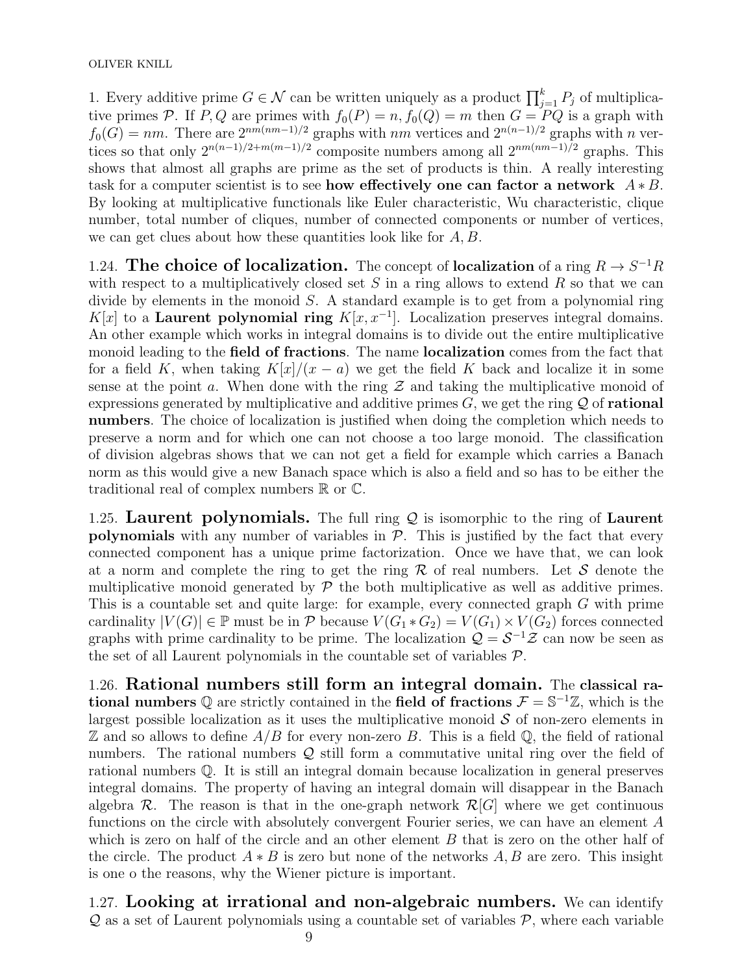1. Every additive prime  $G \in \mathcal{N}$  can be written uniquely as a product  $\prod_{j=1}^{k} P_j$  of multiplicative primes P. If P, Q are primes with  $f_0(P) = n$ ,  $f_0(Q) = m$  then  $G = PQ$  is a graph with  $f_0(G) = nm$ . There are  $2^{nm(nm-1)/2}$  graphs with nm vertices and  $2^{n(n-1)/2}$  graphs with n vertices so that only  $2^{n(n-1)/2+m(m-1)/2}$  composite numbers among all  $2^{nm(nm-1)/2}$  graphs. This shows that almost all graphs are prime as the set of products is thin. A really interesting task for a computer scientist is to see how effectively one can factor a network  $A * B$ . By looking at multiplicative functionals like Euler characteristic, Wu characteristic, clique number, total number of cliques, number of connected components or number of vertices, we can get clues about how these quantities look like for  $A, B$ .

1.24. The choice of localization. The concept of localization of a ring  $R \to S^{-1}R$ with respect to a multiplicatively closed set  $S$  in a ring allows to extend  $R$  so that we can divide by elements in the monoid  $S$ . A standard example is to get from a polynomial ring K[x] to a Laurent polynomial ring  $K[x, x^{-1}]$ . Localization preserves integral domains. An other example which works in integral domains is to divide out the entire multiplicative monoid leading to the field of fractions. The name localization comes from the fact that for a field K, when taking  $K[x]/(x-a)$  we get the field K back and localize it in some sense at the point a. When done with the ring  $\mathcal Z$  and taking the multiplicative monoid of expressions generated by multiplicative and additive primes  $G$ , we get the ring  $\mathcal Q$  of **rational** numbers. The choice of localization is justified when doing the completion which needs to preserve a norm and for which one can not choose a too large monoid. The classification of division algebras shows that we can not get a field for example which carries a Banach norm as this would give a new Banach space which is also a field and so has to be either the traditional real of complex numbers  $\mathbb R$  or  $\mathbb C$ .

1.25. Laurent polynomials. The full ring  $Q$  is isomorphic to the ring of Laurent polynomials with any number of variables in  $P$ . This is justified by the fact that every connected component has a unique prime factorization. Once we have that, we can look at a norm and complete the ring to get the ring  $\mathcal R$  of real numbers. Let S denote the multiplicative monoid generated by  $P$  the both multiplicative as well as additive primes. This is a countable set and quite large: for example, every connected graph G with prime cardinality  $|V(G)| \in \mathbb{P}$  must be in  $\mathcal P$  because  $V(G_1 * G_2) = V(G_1) \times V(G_2)$  forces connected graphs with prime cardinality to be prime. The localization  $\mathcal{Q} = \mathcal{S}^{-1} \mathcal{Z}$  can now be seen as the set of all Laurent polynomials in the countable set of variables  $P$ .

1.26. Rational numbers still form an integral domain. The classical rational numbers Q are strictly contained in the field of fractions  $\mathcal{F} = \mathbb{S}^{-1}\mathbb{Z}$ , which is the largest possible localization as it uses the multiplicative monoid  $\mathcal S$  of non-zero elements in  $\mathbb Z$  and so allows to define  $A/B$  for every non-zero B. This is a field  $\mathbb Q$ , the field of rational numbers. The rational numbers  $Q$  still form a commutative unital ring over the field of rational numbers Q. It is still an integral domain because localization in general preserves integral domains. The property of having an integral domain will disappear in the Banach algebra  $\mathcal{R}$ . The reason is that in the one-graph network  $\mathcal{R}[G]$  where we get continuous functions on the circle with absolutely convergent Fourier series, we can have an element A which is zero on half of the circle and an other element  $B$  that is zero on the other half of the circle. The product  $A * B$  is zero but none of the networks A, B are zero. This insight is one o the reasons, why the Wiener picture is important.

1.27. Looking at irrational and non-algebraic numbers. We can identify  $\mathcal Q$  as a set of Laurent polynomials using a countable set of variables  $\mathcal P$ , where each variable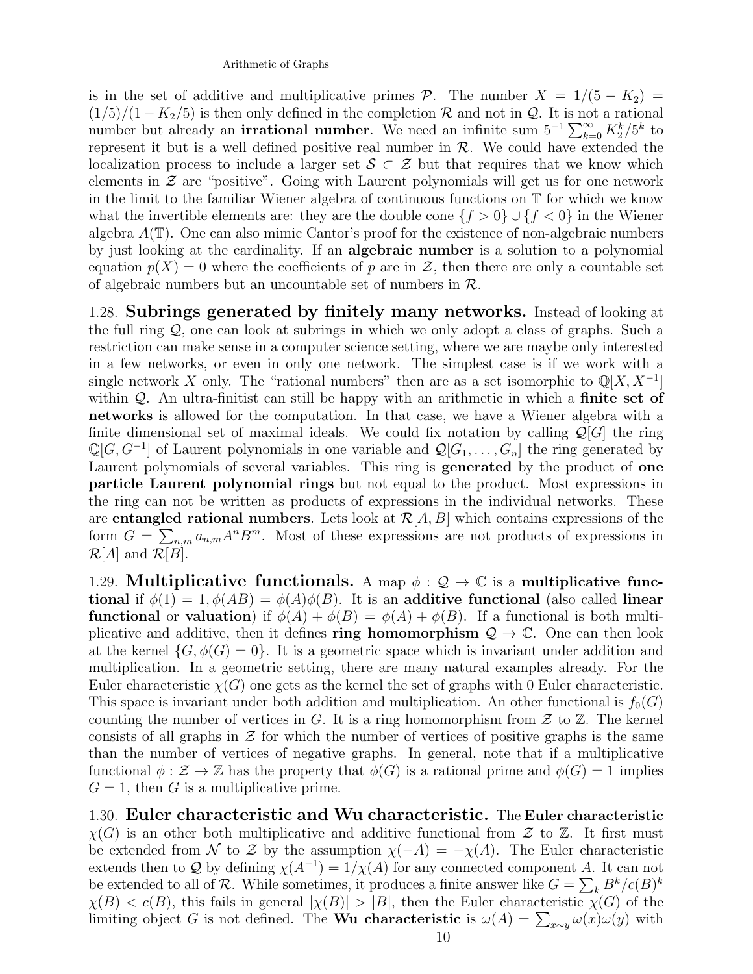is in the set of additive and multiplicative primes  $P$ . The number  $X = 1/(5 - K_2)$  $(1/5)/(1 - K_2/5)$  is then only defined in the completion  $\mathcal R$  and not in  $\mathcal Q$ . It is not a rational number but already an **irrational number**. We need an infinite sum  $5^{-1} \sum_{k=0}^{\infty} K_2^k / 5^k$  to represent it but is a well defined positive real number in  $R$ . We could have extended the localization process to include a larger set  $S \subset \mathcal{Z}$  but that requires that we know which elements in  $\mathcal Z$  are "positive". Going with Laurent polynomials will get us for one network in the limit to the familiar Wiener algebra of continuous functions on T for which we know what the invertible elements are: they are the double cone  $\{f > 0\} \cup \{f < 0\}$  in the Wiener algebra  $A(\mathbb{T})$ . One can also mimic Cantor's proof for the existence of non-algebraic numbers by just looking at the cardinality. If an algebraic number is a solution to a polynomial equation  $p(X) = 0$  where the coefficients of p are in Z, then there are only a countable set of algebraic numbers but an uncountable set of numbers in  $\mathcal{R}$ .

1.28. Subrings generated by finitely many networks. Instead of looking at the full ring  $\mathcal{Q}$ , one can look at subrings in which we only adopt a class of graphs. Such a restriction can make sense in a computer science setting, where we are maybe only interested in a few networks, or even in only one network. The simplest case is if we work with a single network X only. The "rational numbers" then are as a set isomorphic to  $\mathbb{Q}[X, X^{-1}]$ within  $Q$ . An ultra-finitist can still be happy with an arithmetic in which a **finite set of** networks is allowed for the computation. In that case, we have a Wiener algebra with a finite dimensional set of maximal ideals. We could fix notation by calling  $\mathcal{Q}[G]$  the ring  $\mathbb{Q}[G, G^{-1}]$  of Laurent polynomials in one variable and  $\mathcal{Q}[G_1, \ldots, G_n]$  the ring generated by Laurent polynomials of several variables. This ring is generated by the product of one particle Laurent polynomial rings but not equal to the product. Most expressions in the ring can not be written as products of expressions in the individual networks. These are **entangled rational numbers**. Lets look at  $\mathcal{R}[A, B]$  which contains expressions of the form  $G = \sum_{n,m} a_{n,m} A^n B^m$ . Most of these expressions are not products of expressions in  $\mathcal{R}[A]$  and  $\mathcal{R}[B]$ .

1.29. Multiplicative functionals. A map  $\phi : \mathcal{Q} \to \mathbb{C}$  is a multiplicative functional if  $\phi(1) = 1, \phi(AB) = \phi(A)\phi(B)$ . It is an additive functional (also called linear **functional** or **valuation**) if  $\phi(A) + \phi(B) = \phi(A) + \phi(B)$ . If a functional is both multiplicative and additive, then it defines ring homomorphism  $\mathcal{Q} \to \mathbb{C}$ . One can then look at the kernel  $\{G, \phi(G) = 0\}$ . It is a geometric space which is invariant under addition and multiplication. In a geometric setting, there are many natural examples already. For the Euler characteristic  $\chi(G)$  one gets as the kernel the set of graphs with 0 Euler characteristic. This space is invariant under both addition and multiplication. An other functional is  $f_0(G)$ counting the number of vertices in  $G$ . It is a ring homomorphism from  $\mathcal Z$  to  $\mathbb Z$ . The kernel consists of all graphs in  $\mathcal Z$  for which the number of vertices of positive graphs is the same than the number of vertices of negative graphs. In general, note that if a multiplicative functional  $\phi : \mathcal{Z} \to \mathbb{Z}$  has the property that  $\phi(G)$  is a rational prime and  $\phi(G) = 1$  implies  $G = 1$ , then G is a multiplicative prime.

1.30. Euler characteristic and Wu characteristic. The Euler characteristic  $\chi(G)$  is an other both multiplicative and additive functional from  $\mathcal Z$  to  $\mathbb Z$ . It first must be extended from N to Z by the assumption  $\chi(-A) = -\chi(A)$ . The Euler characteristic extends then to Q by defining  $\chi(A^{-1}) = 1/\chi(A)$  for any connected component A. It can not be extended to all of R. While sometimes, it produces a finite answer like  $G = \sum_{k} B^{k}/c(B)^{k}$  $\chi(B) < c(B)$ , this fails in general  $|\chi(B)| > |B|$ , then the Euler characteristic  $\chi(G)$  of the limiting object G is not defined. The Wu characteristic is  $\omega(A) = \sum_{x \sim y} \omega(x) \omega(y)$  with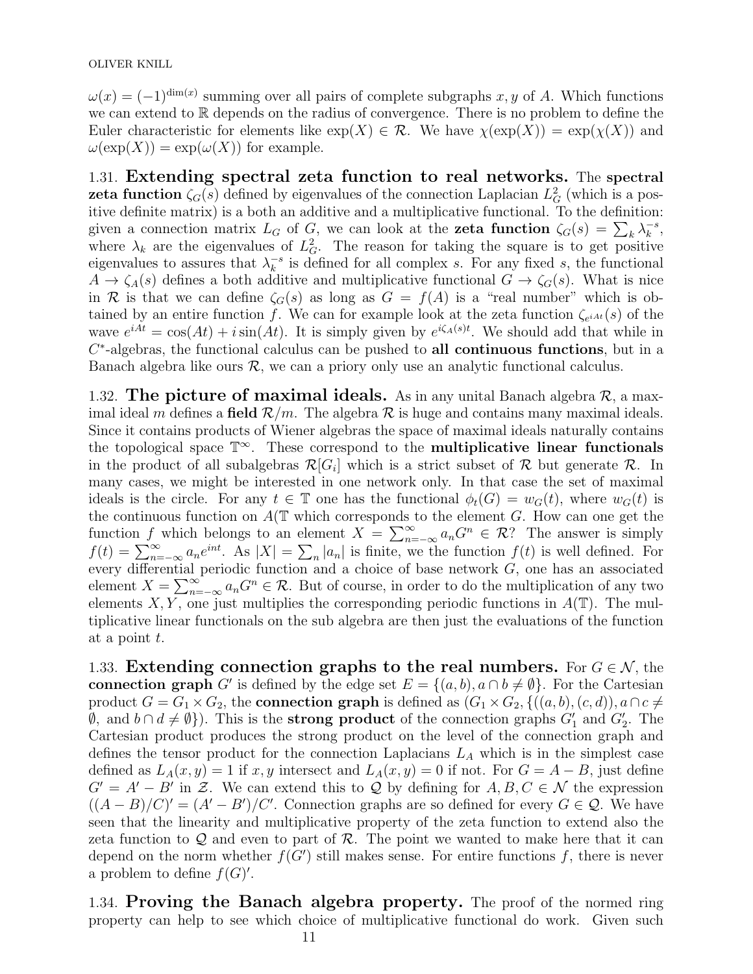$\omega(x) = (-1)^{\dim(x)}$  summing over all pairs of complete subgraphs x, y of A. Which functions we can extend to R depends on the radius of convergence. There is no problem to define the Euler characteristic for elements like  $\exp(X) \in \mathcal{R}$ . We have  $\chi(\exp(X)) = \exp(\chi(X))$  and  $\omega(\exp(X)) = \exp(\omega(X))$  for example.

1.31. Extending spectral zeta function to real networks. The spectral **zeta function**  $\zeta_G(s)$  defined by eigenvalues of the connection Laplacian  $L_G^2$  (which is a positive definite matrix) is a both an additive and a multiplicative functional. To the definition: given a connection matrix  $L_G$  of  $G$ , we can look at the **zeta function**  $\zeta_G(s) = \sum_k \lambda_k^{-s}$  $\frac{-s}{k}$ where  $\lambda_k$  are the eigenvalues of  $L_G^2$ . The reason for taking the square is to get positive eigenvalues to assures that  $\lambda_k^{-s}$  $\overline{k}^s$  is defined for all complex s. For any fixed s, the functional  $A \to \zeta_A(s)$  defines a both additive and multiplicative functional  $G \to \zeta_G(s)$ . What is nice in R is that we can define  $\zeta_G(s)$  as long as  $G = f(A)$  is a "real number" which is obtained by an entire function f. We can for example look at the zeta function  $\zeta_{e^{iA}t}(s)$  of the wave  $e^{iAt} = \cos(At) + i\sin(At)$ . It is simply given by  $e^{i\zeta_A(s)t}$ . We should add that while in  $C^*$ -algebras, the functional calculus can be pushed to all continuous functions, but in a Banach algebra like ours  $\mathcal{R}$ , we can a priory only use an analytic functional calculus.

1.32. The picture of maximal ideals. As in any unital Banach algebra  $\mathcal{R}$ , a maximal ideal m defines a field  $\mathcal{R}/m$ . The algebra  $\mathcal R$  is huge and contains many maximal ideals. Since it contains products of Wiener algebras the space of maximal ideals naturally contains the topological space  $\mathbb{T}^{\infty}$ . These correspond to the **multiplicative linear functionals** in the product of all subalgebras  $\mathcal{R}[G_i]$  which is a strict subset of  $\mathcal R$  but generate  $\mathcal R$ . In many cases, we might be interested in one network only. In that case the set of maximal ideals is the circle. For any  $t \in \mathbb{T}$  one has the functional  $\phi_t(G) = w_G(t)$ , where  $w_G(t)$  is the continuous function on  $A(T)$  which corresponds to the element G. How can one get the function f which belongs to an element  $X = \sum_{n=-\infty}^{\infty} a_n G^n \in \mathcal{R}$ ? The answer is simply  $f(t) = \sum_{n=-\infty}^{\infty} a_n e^{int}$ . As  $|X| = \sum_n |a_n|$  is finite, we the function  $f(t)$  is well defined. For every differential periodic function and a choice of base network G, one has an associated element  $X = \sum_{n=-\infty}^{\infty} a_n G^n \in \mathcal{R}$ . But of course, in order to do the multiplication of any two elements  $X, Y$ , one just multiplies the corresponding periodic functions in  $A(\mathbb{T})$ . The multiplicative linear functionals on the sub algebra are then just the evaluations of the function at a point t.

1.33. Extending connection graphs to the real numbers. For  $G \in \mathcal{N}$ , the connection graph G' is defined by the edge set  $E = \{(a, b), a \cap b \neq \emptyset\}$ . For the Cartesian product  $G = G_1 \times G_2$ , the **connection graph** is defined as  $(G_1 \times G_2, \{((a, b), (c, d)), a \cap c \neq 0\})$  $\emptyset$ , and  $b \cap d \neq \emptyset$ ). This is the **strong product** of the connection graphs  $G'_{1}$  and  $G'_{2}$ . The Cartesian product produces the strong product on the level of the connection graph and defines the tensor product for the connection Laplacians  $L_A$  which is in the simplest case defined as  $L_A(x, y) = 1$  if x, y intersect and  $L_A(x, y) = 0$  if not. For  $G = A - B$ , just define  $G' = A' - B'$  in Z. We can extend this to Q by defining for  $A, B, C \in \mathcal{N}$  the expression  $((A - B)/C)' = (A' - B')/C'$ . Connection graphs are so defined for every  $G \in \mathcal{Q}$ . We have seen that the linearity and multiplicative property of the zeta function to extend also the zeta function to  $\mathcal Q$  and even to part of  $\mathcal R$ . The point we wanted to make here that it can depend on the norm whether  $f(G')$  still makes sense. For entire functions f, there is never a problem to define  $f(G)$ .

1.34. Proving the Banach algebra property. The proof of the normed ring property can help to see which choice of multiplicative functional do work. Given such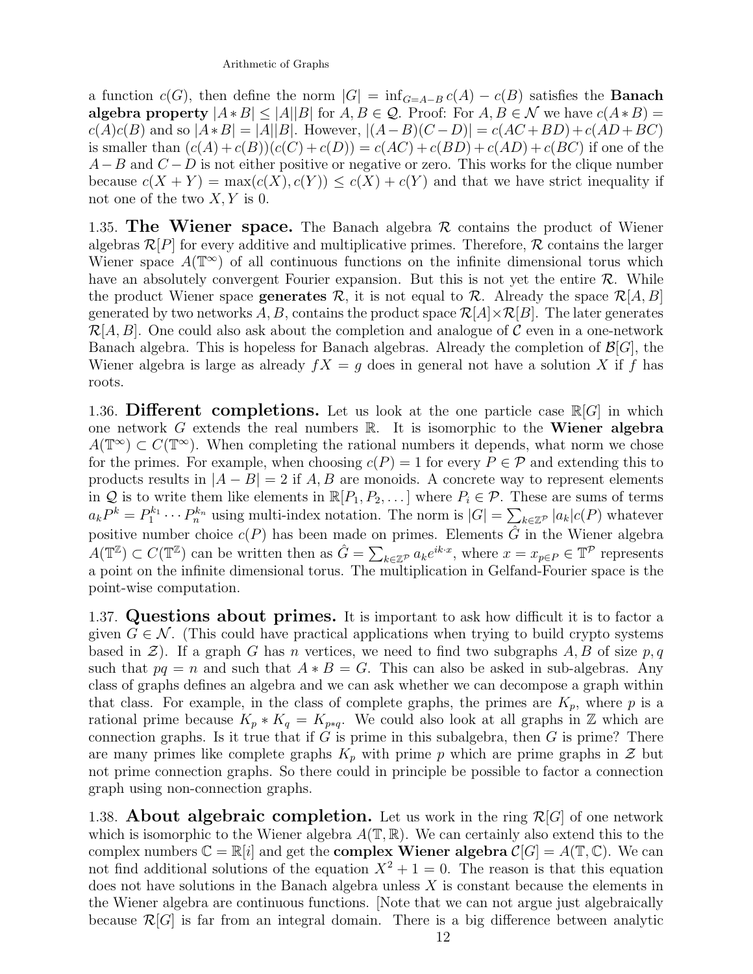a function  $c(G)$ , then define the norm  $|G| = \inf_{G=A-B} c(A) - c(B)$  satisfies the **Banach** algebra property  $|A * B| \leq |A||B|$  for  $A, B \in \mathcal{Q}$ . Proof: For  $A, B \in \mathcal{N}$  we have  $c(A * B)$  =  $c(A)c(B)$  and so  $|A*B| = |A||B|$ . However,  $|(A-B)(C-D)| = c(AC+BD)+c(AD+BC)$ is smaller than  $(c(A) + c(B))(c(C) + c(D)) = c(AC) + c(BD) + c(AD) + c(BC)$  if one of the  $A-B$  and  $C-D$  is not either positive or negative or zero. This works for the clique number because  $c(X + Y) = \max(c(X), c(Y)) \leq c(X) + c(Y)$  and that we have strict inequality if not one of the two  $X, Y$  is 0.

1.35. The Wiener space. The Banach algebra  $\mathcal R$  contains the product of Wiener algebras  $\mathcal{R}[P]$  for every additive and multiplicative primes. Therefore,  $\mathcal{R}$  contains the larger Wiener space  $A(\mathbb{T}^\infty)$  of all continuous functions on the infinite dimensional torus which have an absolutely convergent Fourier expansion. But this is not yet the entire  $\mathcal{R}$ . While the product Wiener space generates  $\mathcal{R}$ , it is not equal to  $\mathcal{R}$ . Already the space  $\mathcal{R}[A, B]$ generated by two networks A, B, contains the product space  $\mathcal{R}[A] \times \mathcal{R}[B]$ . The later generates  $\mathcal{R}[A, B]$ . One could also ask about the completion and analogue of C even in a one-network Banach algebra. This is hopeless for Banach algebras. Already the completion of  $\mathcal{B}[G]$ , the Wiener algebra is large as already  $fX = g$  does in general not have a solution X if f has roots.

1.36. Different completions. Let us look at the one particle case  $\mathbb{R}[G]$  in which one network  $G$  extends the real numbers  $\mathbb R$ . It is isomorphic to the **Wiener algebra**  $A(\mathbb{T}^\infty) \subset C(\mathbb{T}^\infty)$ . When completing the rational numbers it depends, what norm we chose for the primes. For example, when choosing  $c(P) = 1$  for every  $P \in \mathcal{P}$  and extending this to products results in  $|A - B| = 2$  if A, B are monoids. A concrete way to represent elements in Q is to write them like elements in  $\mathbb{R}[P_1, P_2, \dots]$  where  $P_i \in \mathcal{P}$ . These are sums of terms  $a_k P^k = P_1^{k_1} \cdots P_n^{k_n}$  using multi-index notation. The norm is  $|G| = \sum_{k \in \mathbb{Z}^p} |a_k| c(P)$  whatever positive number choice  $c(P)$  has been made on primes. Elements  $\hat{G}$  in the Wiener algebra  $A(\mathbb{T}^{\mathbb{Z}}) \subset C(\mathbb{T}^{\mathbb{Z}})$  can be written then as  $\hat{G} = \sum_{k \in \mathbb{Z}^{\mathcal{P}}} a_k e^{ik \cdot x}$ , where  $x = x_{p \in P} \in \mathbb{T}^{\mathcal{P}}$  represents a point on the infinite dimensional torus. The multiplication in Gelfand-Fourier space is the point-wise computation.

1.37. Questions about primes. It is important to ask how difficult it is to factor a given  $G \in \mathcal{N}$ . (This could have practical applications when trying to build crypto systems based in  $\mathcal{Z}$ ). If a graph G has n vertices, we need to find two subgraphs A, B of size p, q such that  $pq = n$  and such that  $A * B = G$ . This can also be asked in sub-algebras. Any class of graphs defines an algebra and we can ask whether we can decompose a graph within that class. For example, in the class of complete graphs, the primes are  $K_p$ , where p is a rational prime because  $K_p * K_q = K_{p*q}$ . We could also look at all graphs in Z which are connection graphs. Is it true that if  $G$  is prime in this subalgebra, then  $G$  is prime? There are many primes like complete graphs  $K_p$  with prime p which are prime graphs in  $\mathcal Z$  but not prime connection graphs. So there could in principle be possible to factor a connection graph using non-connection graphs.

1.38. **About algebraic completion.** Let us work in the ring  $\mathcal{R}[G]$  of one network which is isomorphic to the Wiener algebra  $A(\mathbb{T}, \mathbb{R})$ . We can certainly also extend this to the complex numbers  $\mathbb{C} = \mathbb{R}[i]$  and get the **complex Wiener algebra**  $\mathcal{C}[G] = A(\mathbb{T}, \mathbb{C})$ . We can not find additional solutions of the equation  $X^2 + 1 = 0$ . The reason is that this equation does not have solutions in the Banach algebra unless  $X$  is constant because the elements in the Wiener algebra are continuous functions. [Note that we can not argue just algebraically because  $\mathcal{R}[G]$  is far from an integral domain. There is a big difference between analytic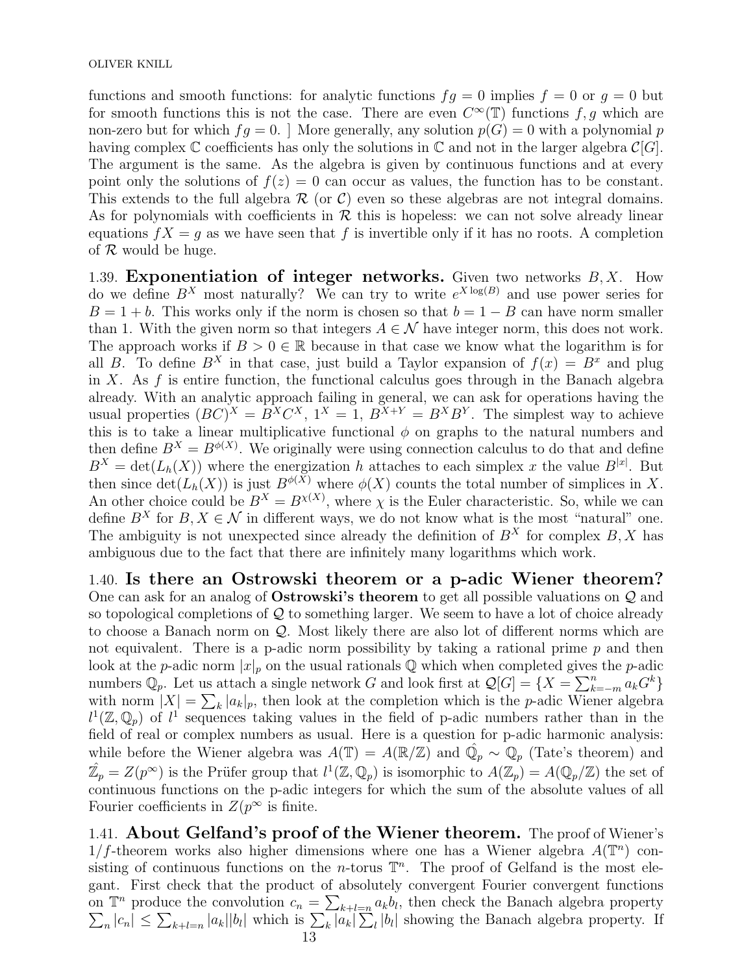functions and smooth functions: for analytic functions  $fg = 0$  implies  $f = 0$  or  $g = 0$  but for smooth functions this is not the case. There are even  $C^{\infty}(\mathbb{T})$  functions f, g which are non-zero but for which  $fg = 0$ . More generally, any solution  $p(G) = 0$  with a polynomial p having complex  $\mathbb C$  coefficients has only the solutions in  $\mathbb C$  and not in the larger algebra  $\mathcal C[G]$ . The argument is the same. As the algebra is given by continuous functions and at every point only the solutions of  $f(z) = 0$  can occur as values, the function has to be constant. This extends to the full algebra  $\mathcal R$  (or C) even so these algebras are not integral domains. As for polynomials with coefficients in  $R$  this is hopeless: we can not solve already linear equations  $fX = g$  as we have seen that f is invertible only if it has no roots. A completion of  $R$  would be huge.

1.39. **Exponentiation of integer networks.** Given two networks  $B, X$ . How do we define  $B^X$  most naturally? We can try to write  $e^{X \log(B)}$  and use power series for  $B = 1 + b$ . This works only if the norm is chosen so that  $b = 1 - B$  can have norm smaller than 1. With the given norm so that integers  $A \in \mathcal{N}$  have integer norm, this does not work. The approach works if  $B > 0 \in \mathbb{R}$  because in that case we know what the logarithm is for all B. To define  $B^X$  in that case, just build a Taylor expansion of  $f(x) = B^x$  and plug in X. As f is entire function, the functional calculus goes through in the Banach algebra already. With an analytic approach failing in general, we can ask for operations having the usual properties  $(BC)^{X} = B^{X}C^{X}, 1^{X} = 1, B^{X+Y} = B^{X}B^{Y}$ . The simplest way to achieve this is to take a linear multiplicative functional  $\phi$  on graphs to the natural numbers and then define  $B^X = B^{\phi(X)}$ . We originally were using connection calculus to do that and define  $B^X = \det(L_h(X))$  where the energization h attaches to each simplex x the value  $B^{[x]}$ . But then since  $\det(L_h(X))$  is just  $B^{\phi(X)}$  where  $\phi(X)$  counts the total number of simplices in X. An other choice could be  $B^X = B^{\chi(X)}$ , where  $\chi$  is the Euler characteristic. So, while we can define  $B^X$  for  $B, X \in \mathcal{N}$  in different ways, we do not know what is the most "natural" one. The ambiguity is not unexpected since already the definition of  $B<sup>X</sup>$  for complex B, X has ambiguous due to the fact that there are infinitely many logarithms which work.

1.40. Is there an Ostrowski theorem or a p-adic Wiener theorem? One can ask for an analog of Ostrowski's theorem to get all possible valuations on Q and so topological completions of  $\mathcal Q$  to something larger. We seem to have a lot of choice already to choose a Banach norm on  $\mathcal{Q}$ . Most likely there are also lot of different norms which are not equivalent. There is a p-adic norm possibility by taking a rational prime  $p$  and then look at the p-adic norm  $|x|_p$  on the usual rationals Q which when completed gives the p-adic numbers  $\mathbb{Q}_p$ . Let us attach a single network G and look first at  $\mathcal{Q}[G] = \{X = \sum_{k=-m}^{n} a_k G^k\}$ with norm  $|X| = \sum_{k} |a_k|_p$ , then look at the completion which is the p-adic Wiener algebra  $l^1(\mathbb{Z},\mathbb{Q}_p)$  of  $l^1$  sequences taking values in the field of p-adic numbers rather than in the field of real or complex numbers as usual. Here is a question for p-adic harmonic analysis: while before the Wiener algebra was  $A(\mathbb{T}) = A(\mathbb{R}/\mathbb{Z})$  and  $\hat{\mathbb{Q}}_p \sim \mathbb{Q}_p$  (Tate's theorem) and  $\hat{\mathbb{Z}}_p = Z(p^{\infty})$  is the Prüfer group that  $l^1(\mathbb{Z}, \mathbb{Q}_p)$  is isomorphic to  $A(\mathbb{Z}_p) = A(\mathbb{Q}_p/\mathbb{Z})$  the set of continuous functions on the p-adic integers for which the sum of the absolute values of all Fourier coefficients in  $Z(p^{\infty})$  is finite.

1.41. About Gelfand's proof of the Wiener theorem. The proof of Wiener's  $1/f$ -theorem works also higher dimensions where one has a Wiener algebra  $A(\mathbb{T}^n)$  consisting of continuous functions on the *n*-torus  $\mathbb{T}^n$ . The proof of Gelfand is the most elegant. First check that the product of absolutely convergent Fourier convergent functions on  $\mathbb{T}^n$  produce the convolution  $c_n = \sum_{k+l=n} a_k b_l$  $\sum$ , then check the Banach algebra property  $|c_n| \leq \sum_{k+l=n} |a_k||b_l|$  which is  $\sum_k |a_k| \sum_l |b_l|$  showing the Banach algebra property. If 13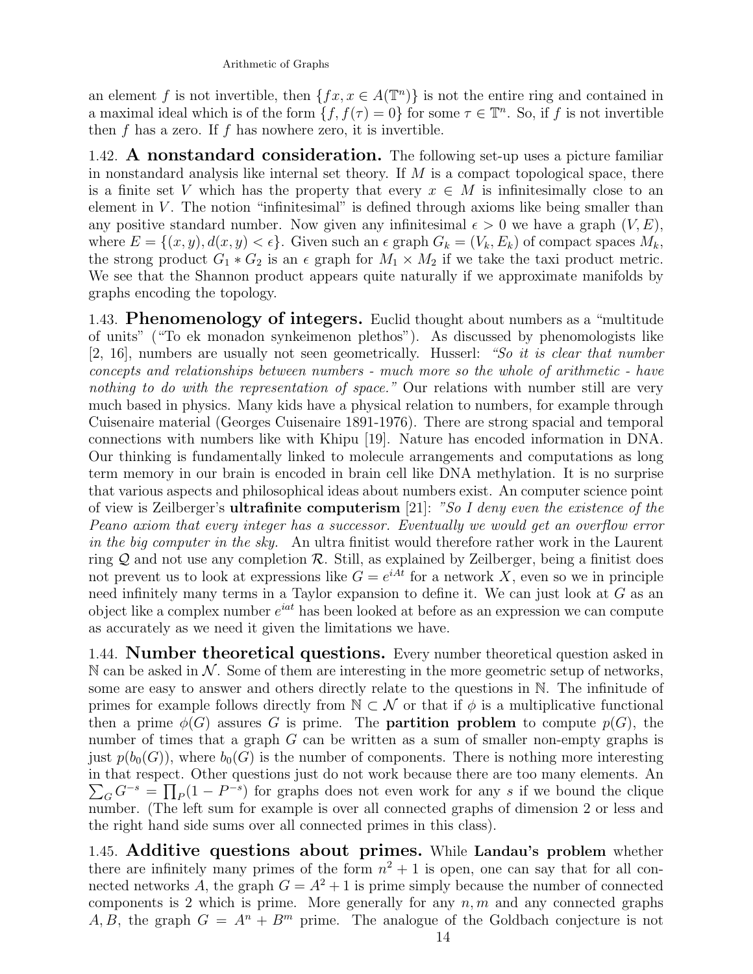## Arithmetic of Graphs

an element f is not invertible, then  $\{fx, x \in A(\mathbb{T}^n)\}\$ is not the entire ring and contained in a maximal ideal which is of the form  $\{f, f(\tau) = 0\}$  for some  $\tau \in \mathbb{T}^n$ . So, if f is not invertible then f has a zero. If f has nowhere zero, it is invertible.

1.42. A nonstandard consideration. The following set-up uses a picture familiar in nonstandard analysis like internal set theory. If  $M$  is a compact topological space, there is a finite set V which has the property that every  $x \in M$  is infinitesimally close to an element in  $V$ . The notion "infinitesimal" is defined through axioms like being smaller than any positive standard number. Now given any infinitesimal  $\epsilon > 0$  we have a graph  $(V, E)$ , where  $E = \{(x, y), d(x, y) < \epsilon\}$ . Given such an  $\epsilon$  graph  $G_k = (V_k, E_k)$  of compact spaces  $M_k$ , the strong product  $G_1 * G_2$  is an  $\epsilon$  graph for  $M_1 \times M_2$  if we take the taxi product metric. We see that the Shannon product appears quite naturally if we approximate manifolds by graphs encoding the topology.

1.43. Phenomenology of integers. Euclid thought about numbers as a "multitude of units" ("To ek monadon synkeimenon plethos"). As discussed by phenomologists like [2, 16], numbers are usually not seen geometrically. Husserl: "So it is clear that number concepts and relationships between numbers - much more so the whole of arithmetic - have nothing to do with the representation of space." Our relations with number still are very much based in physics. Many kids have a physical relation to numbers, for example through Cuisenaire material (Georges Cuisenaire 1891-1976). There are strong spacial and temporal connections with numbers like with Khipu [19]. Nature has encoded information in DNA. Our thinking is fundamentally linked to molecule arrangements and computations as long term memory in our brain is encoded in brain cell like DNA methylation. It is no surprise that various aspects and philosophical ideas about numbers exist. An computer science point of view is Zeilberger's ultrafinite computerism [21]: "So I deny even the existence of the Peano axiom that every integer has a successor. Eventually we would get an overflow error in the big computer in the sky. An ultra finitist would therefore rather work in the Laurent ring  $Q$  and not use any completion  $R$ . Still, as explained by Zeilberger, being a finitist does not prevent us to look at expressions like  $G = e^{iAt}$  for a network X, even so we in principle need infinitely many terms in a Taylor expansion to define it. We can just look at G as an object like a complex number  $e^{iat}$  has been looked at before as an expression we can compute as accurately as we need it given the limitations we have.

1.44. **Number theoretical questions.** Every number theoretical question asked in  $\mathbb N$  can be asked in  $\mathcal N$ . Some of them are interesting in the more geometric setup of networks, some are easy to answer and others directly relate to the questions in N. The infinitude of primes for example follows directly from  $\mathbb{N} \subset \mathcal{N}$  or that if  $\phi$  is a multiplicative functional then a prime  $\phi(G)$  assures G is prime. The **partition problem** to compute  $p(G)$ , the number of times that a graph G can be written as a sum of smaller non-empty graphs is just  $p(b_0(G))$ , where  $b_0(G)$  is the number of components. There is nothing more interesting in that respect. Other questions just do not work because there are too many elements. An  $\sum_{G} G^{-s} = \prod_{P} (1 - P^{-s})$  for graphs does not even work for any s if we bound the clique number. (The left sum for example is over all connected graphs of dimension 2 or less and the right hand side sums over all connected primes in this class).

1.45. Additive questions about primes. While Landau's problem whether there are infinitely many primes of the form  $n^2 + 1$  is open, one can say that for all connected networks A, the graph  $G = A^2 + 1$  is prime simply because the number of connected components is 2 which is prime. More generally for any  $n, m$  and any connected graphs A, B, the graph  $G = A^n + B^m$  prime. The analogue of the Goldbach conjecture is not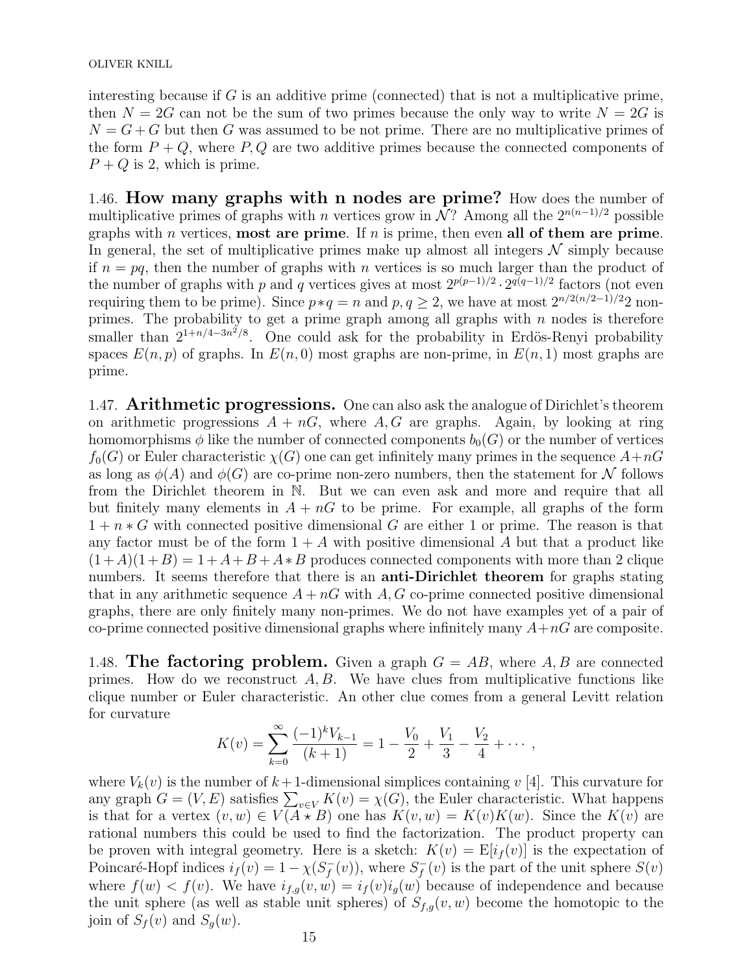interesting because if  $G$  is an additive prime (connected) that is not a multiplicative prime, then  $N = 2G$  can not be the sum of two primes because the only way to write  $N = 2G$  is  $N = G + G$  but then G was assumed to be not prime. There are no multiplicative primes of the form  $P + Q$ , where P, Q are two additive primes because the connected components of  $P + Q$  is 2, which is prime.

1.46. How many graphs with n nodes are prime? How does the number of multiplicative primes of graphs with n vertices grow in  $\tilde{\mathcal{N}}$ ? Among all the  $2^{n(n-1)/2}$  possible graphs with *n* vertices, **most are prime**. If *n* is prime, then even all of them are prime. In general, the set of multiplicative primes make up almost all integers  $\mathcal N$  simply because if  $n = pq$ , then the number of graphs with n vertices is so much larger than the product of the number of graphs with p and q vertices gives at most  $2^{p(p-1)/2} \cdot 2^{q(q-1)/2}$  factors (not even requiring them to be prime). Since  $p * q = n$  and  $p, q \ge 2$ , we have at most  $2^{n/2(n/2-1)/2}2$  nonprimes. The probability to get a prime graph among all graphs with  $n$  nodes is therefore smaller than  $2^{1+n/4-3n^2/8}$ . One could ask for the probability in Erdös-Renyi probability spaces  $E(n, p)$  of graphs. In  $E(n, 0)$  most graphs are non-prime, in  $E(n, 1)$  most graphs are prime.

1.47. Arithmetic progressions. One can also ask the analogue of Dirichlet's theorem on arithmetic progressions  $A + nG$ , where  $A, G$  are graphs. Again, by looking at ring homomorphisms  $\phi$  like the number of connected components  $b_0(G)$  or the number of vertices  $f_0(G)$  or Euler characteristic  $\chi(G)$  one can get infinitely many primes in the sequence  $A+nG$ as long as  $\phi(A)$  and  $\phi(G)$  are co-prime non-zero numbers, then the statement for N follows from the Dirichlet theorem in N. But we can even ask and more and require that all but finitely many elements in  $A + nG$  to be prime. For example, all graphs of the form  $1 + n * G$  with connected positive dimensional G are either 1 or prime. The reason is that any factor must be of the form  $1 + A$  with positive dimensional A but that a product like  $(1+A)(1+B) = 1+A+B+A*B$  produces connected components with more than 2 clique numbers. It seems therefore that there is an **anti-Dirichlet theorem** for graphs stating that in any arithmetic sequence  $A + nG$  with  $A, G$  co-prime connected positive dimensional graphs, there are only finitely many non-primes. We do not have examples yet of a pair of co-prime connected positive dimensional graphs where infinitely many  $A+nG$  are composite.

1.48. The factoring problem. Given a graph  $G = AB$ , where A, B are connected primes. How do we reconstruct  $A, B$ . We have clues from multiplicative functions like clique number or Euler characteristic. An other clue comes from a general Levitt relation for curvature

$$
K(v) = \sum_{k=0}^{\infty} \frac{(-1)^k V_{k-1}}{(k+1)} = 1 - \frac{V_0}{2} + \frac{V_1}{3} - \frac{V_2}{4} + \cdots,
$$

where  $V_k(v)$  is the number of  $k+1$ -dimensional simplices containing v [4]. This curvature for any graph  $G = (V, E)$  satisfies  $\sum_{v \in V} K(v) = \chi(G)$ , the Euler characteristic. What happens is that for a vertex  $(v, w) \in V(A \star B)$  one has  $K(v, w) = K(v)K(w)$ . Since the  $K(v)$  are rational numbers this could be used to find the factorization. The product property can be proven with integral geometry. Here is a sketch:  $K(v) = \mathbb{E}[i_f(v)]$  is the expectation of Poincaré-Hopf indices  $i_f(v) = 1 - \chi(S_f^-)$  $f^{-}(v)$ , where  $S_f^{-}$  $f<sub>f</sub>(v)$  is the part of the unit sphere  $S(v)$ where  $f(w) < f(v)$ . We have  $i_{f,q}(v, w) = i_f(v)i_q(w)$  because of independence and because the unit sphere (as well as stable unit spheres) of  $S_{f,g}(v, w)$  become the homotopic to the join of  $S_f(v)$  and  $S_g(w)$ .